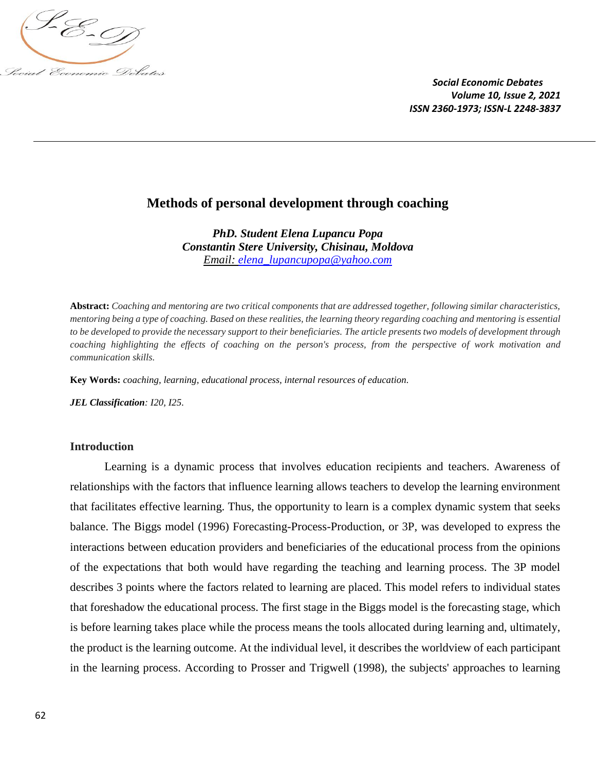

# **Methods of personal development through coaching**

*PhD. Student Elena Lupancu Popa Constantin Stere University, Chisinau, Moldova Email: [elena\\_lupancupopa@yahoo.com](mailto:elena_lupancupopa@yahoo.com)*

**Abstract:** *Coaching and mentoring are two critical components that are addressed together, following similar characteristics, mentoring being a type of coaching. Based on these realities, the learning theory regarding coaching and mentoring is essential to be developed to provide the necessary support to their beneficiaries. The article presents two models of development through coaching highlighting the effects of coaching on the person's process, from the perspective of work motivation and communication skills.*

**Key Words:** *coaching, learning, educational process, internal resources of education.*

*JEL Classification: I20, I25.*

#### **Introduction**

Learning is a dynamic process that involves education recipients and teachers. Awareness of relationships with the factors that influence learning allows teachers to develop the learning environment that facilitates effective learning. Thus, the opportunity to learn is a complex dynamic system that seeks balance. The Biggs model (1996) Forecasting-Process-Production, or 3P, was developed to express the interactions between education providers and beneficiaries of the educational process from the opinions of the expectations that both would have regarding the teaching and learning process. The 3P model describes 3 points where the factors related to learning are placed. This model refers to individual states that foreshadow the educational process. The first stage in the Biggs model is the forecasting stage, which is before learning takes place while the process means the tools allocated during learning and, ultimately, the product is the learning outcome. At the individual level, it describes the worldview of each participant in the learning process. According to Prosser and Trigwell (1998), the subjects' approaches to learning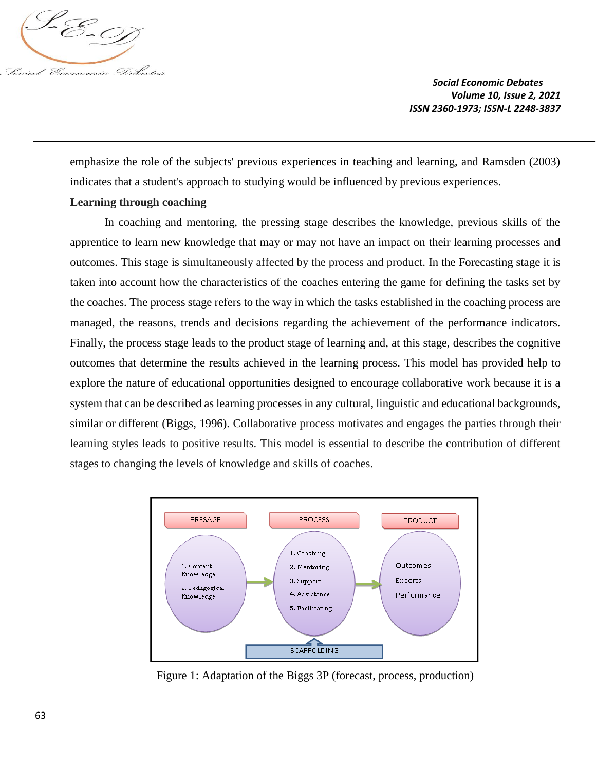

emphasize the role of the subjects' previous experiences in teaching and learning, and Ramsden (2003) indicates that a student's approach to studying would be influenced by previous experiences.

# **Learning through coaching**

In coaching and mentoring, the pressing stage describes the knowledge, previous skills of the apprentice to learn new knowledge that may or may not have an impact on their learning processes and outcomes. This stage is simultaneously affected by the process and product. In the Forecasting stage it is taken into account how the characteristics of the coaches entering the game for defining the tasks set by the coaches. The process stage refers to the way in which the tasks established in the coaching process are managed, the reasons, trends and decisions regarding the achievement of the performance indicators. Finally, the process stage leads to the product stage of learning and, at this stage, describes the cognitive outcomes that determine the results achieved in the learning process. This model has provided help to explore the nature of educational opportunities designed to encourage collaborative work because it is a system that can be described as learning processes in any cultural, linguistic and educational backgrounds, similar or different (Biggs, 1996). Collaborative process motivates and engages the parties through their learning styles leads to positive results. This model is essential to describe the contribution of different stages to changing the levels of knowledge and skills of coaches.



Figure 1: Adaptation of the Biggs 3P (forecast, process, production)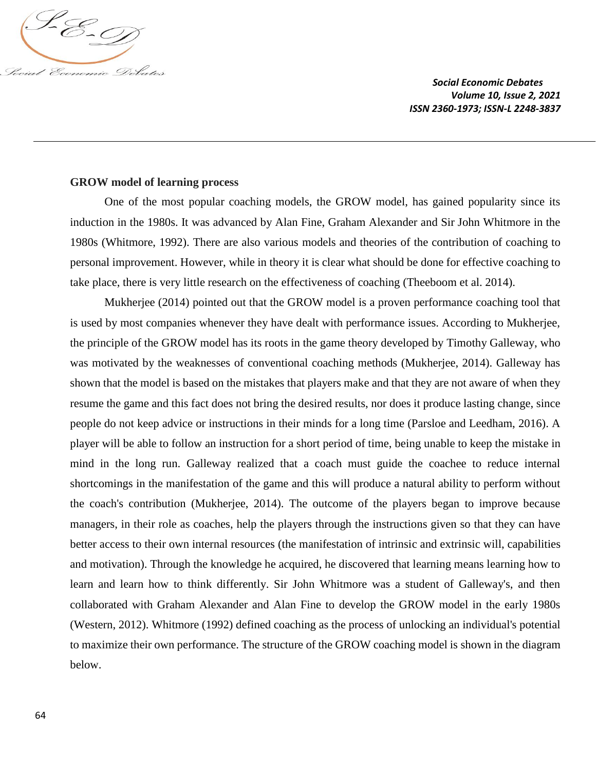

### **GROW model of learning process**

One of the most popular coaching models, the GROW model, has gained popularity since its induction in the 1980s. It was advanced by Alan Fine, Graham Alexander and Sir John Whitmore in the 1980s (Whitmore, 1992). There are also various models and theories of the contribution of coaching to personal improvement. However, while in theory it is clear what should be done for effective coaching to take place, there is very little research on the effectiveness of coaching (Theeboom et al. 2014).

Mukherjee (2014) pointed out that the GROW model is a proven performance coaching tool that is used by most companies whenever they have dealt with performance issues. According to Mukherjee, the principle of the GROW model has its roots in the game theory developed by Timothy Galleway, who was motivated by the weaknesses of conventional coaching methods (Mukherjee, 2014). Galleway has shown that the model is based on the mistakes that players make and that they are not aware of when they resume the game and this fact does not bring the desired results, nor does it produce lasting change, since people do not keep advice or instructions in their minds for a long time (Parsloe and Leedham, 2016). A player will be able to follow an instruction for a short period of time, being unable to keep the mistake in mind in the long run. Galleway realized that a coach must guide the coachee to reduce internal shortcomings in the manifestation of the game and this will produce a natural ability to perform without the coach's contribution (Mukherjee, 2014). The outcome of the players began to improve because managers, in their role as coaches, help the players through the instructions given so that they can have better access to their own internal resources (the manifestation of intrinsic and extrinsic will, capabilities and motivation). Through the knowledge he acquired, he discovered that learning means learning how to learn and learn how to think differently. Sir John Whitmore was a student of Galleway's, and then collaborated with Graham Alexander and Alan Fine to develop the GROW model in the early 1980s (Western, 2012). Whitmore (1992) defined coaching as the process of unlocking an individual's potential to maximize their own performance. The structure of the GROW coaching model is shown in the diagram below.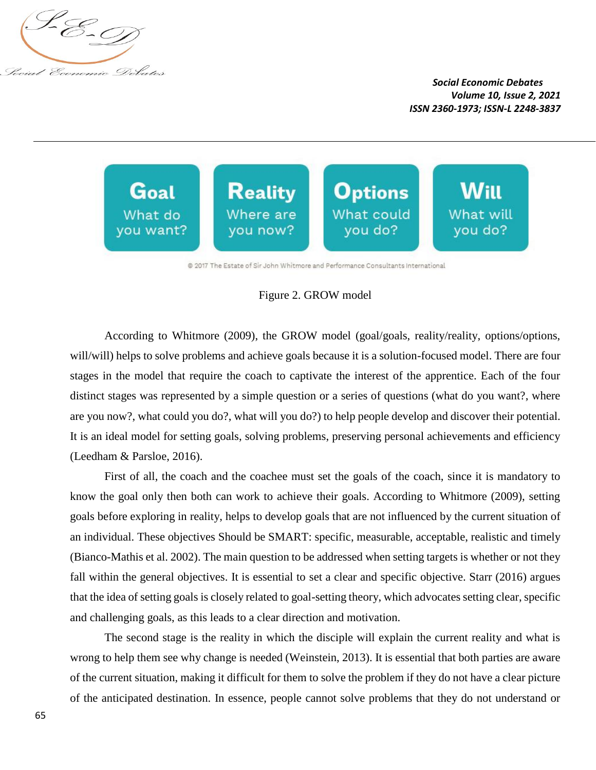



@ 2017 The Estate of Sir John Whitmore and Performance Consultants International

#### Figure 2. GROW model

According to Whitmore (2009), the GROW model (goal/goals, reality/reality, options/options, will/will) helps to solve problems and achieve goals because it is a solution-focused model. There are four stages in the model that require the coach to captivate the interest of the apprentice. Each of the four distinct stages was represented by a simple question or a series of questions (what do you want?, where are you now?, what could you do?, what will you do?) to help people develop and discover their potential. It is an ideal model for setting goals, solving problems, preserving personal achievements and efficiency (Leedham & Parsloe, 2016).

First of all, the coach and the coachee must set the goals of the coach, since it is mandatory to know the goal only then both can work to achieve their goals. According to Whitmore (2009), setting goals before exploring in reality, helps to develop goals that are not influenced by the current situation of an individual. These objectives Should be SMART: specific, measurable, acceptable, realistic and timely (Bianco-Mathis et al. 2002). The main question to be addressed when setting targets is whether or not they fall within the general objectives. It is essential to set a clear and specific objective. Starr (2016) argues that the idea of setting goals is closely related to goal-setting theory, which advocates setting clear, specific and challenging goals, as this leads to a clear direction and motivation.

The second stage is the reality in which the disciple will explain the current reality and what is wrong to help them see why change is needed (Weinstein, 2013). It is essential that both parties are aware of the current situation, making it difficult for them to solve the problem if they do not have a clear picture of the anticipated destination. In essence, people cannot solve problems that they do not understand or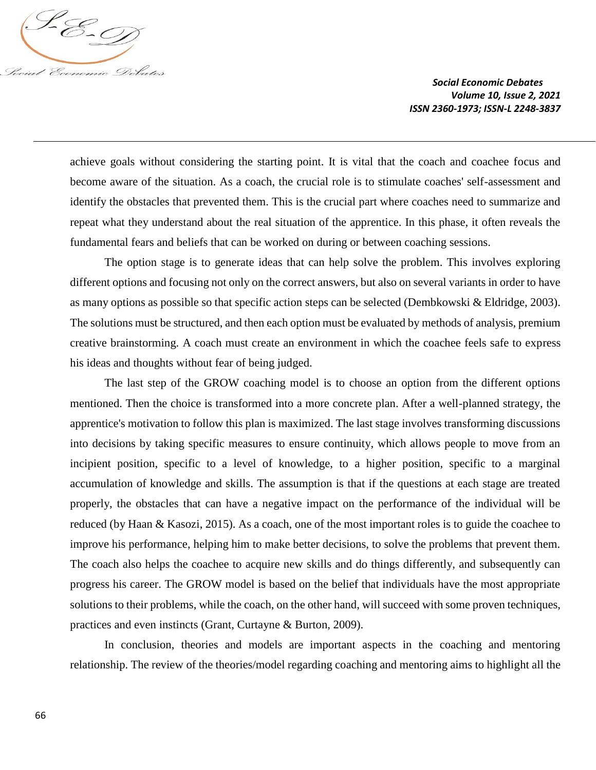

achieve goals without considering the starting point. It is vital that the coach and coachee focus and become aware of the situation. As a coach, the crucial role is to stimulate coaches' self-assessment and identify the obstacles that prevented them. This is the crucial part where coaches need to summarize and repeat what they understand about the real situation of the apprentice. In this phase, it often reveals the fundamental fears and beliefs that can be worked on during or between coaching sessions.

The option stage is to generate ideas that can help solve the problem. This involves exploring different options and focusing not only on the correct answers, but also on several variants in order to have as many options as possible so that specific action steps can be selected (Dembkowski & Eldridge, 2003). The solutions must be structured, and then each option must be evaluated by methods of analysis, premium creative brainstorming. A coach must create an environment in which the coachee feels safe to express his ideas and thoughts without fear of being judged.

The last step of the GROW coaching model is to choose an option from the different options mentioned. Then the choice is transformed into a more concrete plan. After a well-planned strategy, the apprentice's motivation to follow this plan is maximized. The last stage involves transforming discussions into decisions by taking specific measures to ensure continuity, which allows people to move from an incipient position, specific to a level of knowledge, to a higher position, specific to a marginal accumulation of knowledge and skills. The assumption is that if the questions at each stage are treated properly, the obstacles that can have a negative impact on the performance of the individual will be reduced (by Haan & Kasozi, 2015). As a coach, one of the most important roles is to guide the coachee to improve his performance, helping him to make better decisions, to solve the problems that prevent them. The coach also helps the coachee to acquire new skills and do things differently, and subsequently can progress his career. The GROW model is based on the belief that individuals have the most appropriate solutions to their problems, while the coach, on the other hand, will succeed with some proven techniques, practices and even instincts (Grant, Curtayne & Burton, 2009).

In conclusion, theories and models are important aspects in the coaching and mentoring relationship. The review of the theories/model regarding coaching and mentoring aims to highlight all the